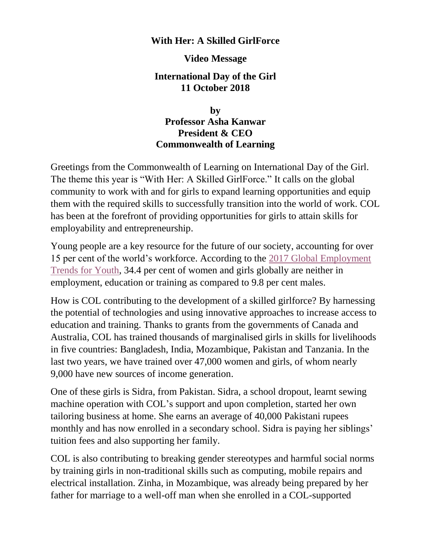## **With Her: A Skilled GirlForce**

## **Video Message**

## **International Day of the Girl 11 October 2018**

**by Professor Asha Kanwar President & CEO Commonwealth of Learning**

Greetings from the Commonwealth of Learning on International Day of the Girl. The theme this year is "With Her: A Skilled GirlForce." It calls on the global community to work with and for girls to expand learning opportunities and equip them with the required skills to successfully transition into the world of work. COL has been at the forefront of providing opportunities for girls to attain skills for employability and entrepreneurship.

Young people are a key resource for the future of our society, accounting for over 15 per cent of the world's workforce. According to the [2017 Global Employment](http://www.ilo.org/wcmsp5/groups/public/---dgreports/---dcomm/---publ/documents/publication/wcms_598669.pdf)  [Trends for Youth,](http://www.ilo.org/wcmsp5/groups/public/---dgreports/---dcomm/---publ/documents/publication/wcms_598669.pdf) 34.4 per cent of women and girls globally are neither in employment, education or training as compared to 9.8 per cent males.

How is COL contributing to the development of a skilled girlforce? By harnessing the potential of technologies and using innovative approaches to increase access to education and training. Thanks to grants from the governments of Canada and Australia, COL has trained thousands of marginalised girls in skills for livelihoods in five countries: Bangladesh, India, Mozambique, Pakistan and Tanzania. In the last two years, we have trained over 47,000 women and girls, of whom nearly 9,000 have new sources of income generation.

One of these girls is Sidra, from Pakistan. Sidra, a school dropout, learnt sewing machine operation with COL's support and upon completion, started her own tailoring business at home. She earns an average of 40,000 Pakistani rupees monthly and has now enrolled in a secondary school. Sidra is paying her siblings' tuition fees and also supporting her family.

COL is also contributing to breaking gender stereotypes and harmful social norms by training girls in non-traditional skills such as computing, mobile repairs and electrical installation. Zinha, in Mozambique, was already being prepared by her father for marriage to a well-off man when she enrolled in a COL-supported